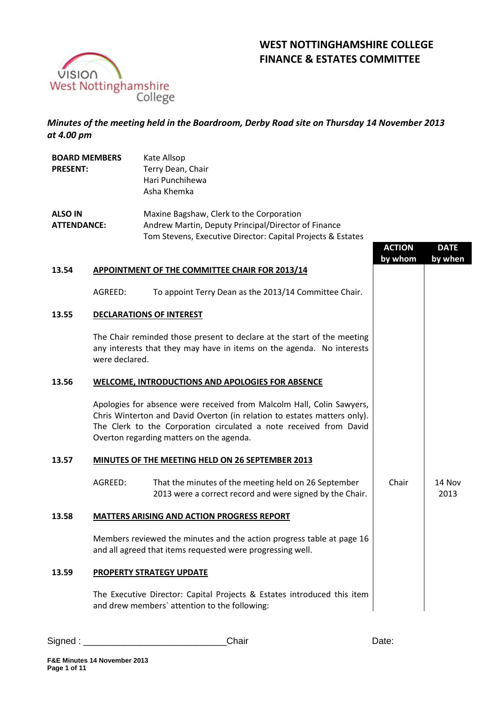

# **WEST NOTTINGHAMSHIRE COLLEGE FINANCE & ESTATES COMMITTEE**

*Minutes of the meeting held in the Boardroom, Derby Road site on Thursday 14 November 2013 at 4.00 pm*

| <b>BOARD MEMBERS</b><br><b>PRESENT:</b> |                                                                                                                                                                    | Kate Allsop<br>Terry Dean, Chair<br>Hari Punchihewa<br>Asha Khemka                                                                                                                                                                                                  |                          |                        |  |  |
|-----------------------------------------|--------------------------------------------------------------------------------------------------------------------------------------------------------------------|---------------------------------------------------------------------------------------------------------------------------------------------------------------------------------------------------------------------------------------------------------------------|--------------------------|------------------------|--|--|
| <b>ALSO IN</b><br><b>ATTENDANCE:</b>    |                                                                                                                                                                    | Maxine Bagshaw, Clerk to the Corporation<br>Andrew Martin, Deputy Principal/Director of Finance<br>Tom Stevens, Executive Director: Capital Projects & Estates                                                                                                      | <b>ACTION</b><br>by whom | <b>DATE</b><br>by when |  |  |
| 13.54                                   |                                                                                                                                                                    | <b>APPOINTMENT OF THE COMMITTEE CHAIR FOR 2013/14</b>                                                                                                                                                                                                               |                          |                        |  |  |
|                                         | AGREED:                                                                                                                                                            | To appoint Terry Dean as the 2013/14 Committee Chair.                                                                                                                                                                                                               |                          |                        |  |  |
| 13.55                                   |                                                                                                                                                                    | <b>DECLARATIONS OF INTEREST</b>                                                                                                                                                                                                                                     |                          |                        |  |  |
|                                         | The Chair reminded those present to declare at the start of the meeting<br>any interests that they may have in items on the agenda. No interests<br>were declared. |                                                                                                                                                                                                                                                                     |                          |                        |  |  |
| 13.56                                   | <b>WELCOME, INTRODUCTIONS AND APOLOGIES FOR ABSENCE</b>                                                                                                            |                                                                                                                                                                                                                                                                     |                          |                        |  |  |
|                                         |                                                                                                                                                                    | Apologies for absence were received from Malcolm Hall, Colin Sawyers,<br>Chris Winterton and David Overton (in relation to estates matters only).<br>The Clerk to the Corporation circulated a note received from David<br>Overton regarding matters on the agenda. |                          |                        |  |  |
| 13.57                                   |                                                                                                                                                                    | MINUTES OF THE MEETING HELD ON 26 SEPTEMBER 2013                                                                                                                                                                                                                    |                          |                        |  |  |
|                                         | AGREED:                                                                                                                                                            | That the minutes of the meeting held on 26 September<br>2013 were a correct record and were signed by the Chair.                                                                                                                                                    | Chair                    | 14 Nov<br>2013         |  |  |
| 13.58                                   |                                                                                                                                                                    | <b>MATTERS ARISING AND ACTION PROGRESS REPORT</b>                                                                                                                                                                                                                   |                          |                        |  |  |
|                                         |                                                                                                                                                                    | Members reviewed the minutes and the action progress table at page 16<br>and all agreed that items requested were progressing well.                                                                                                                                 |                          |                        |  |  |
| 13.59                                   | PROPERTY STRATEGY UPDATE                                                                                                                                           |                                                                                                                                                                                                                                                                     |                          |                        |  |  |
|                                         |                                                                                                                                                                    | The Executive Director: Capital Projects & Estates introduced this item<br>and drew members' attention to the following:                                                                                                                                            |                          |                        |  |  |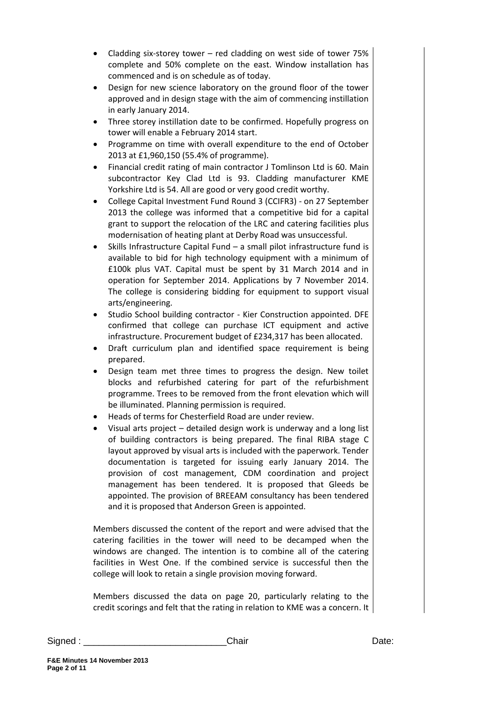- Cladding six-storey tower red cladding on west side of tower 75% complete and 50% complete on the east. Window installation has commenced and is on schedule as of today.
- Design for new science laboratory on the ground floor of the tower approved and in design stage with the aim of commencing instillation in early January 2014.
- Three storey instillation date to be confirmed. Hopefully progress on tower will enable a February 2014 start.
- Programme on time with overall expenditure to the end of October 2013 at £1,960,150 (55.4% of programme).
- Financial credit rating of main contractor J Tomlinson Ltd is 60. Main subcontractor Key Clad Ltd is 93. Cladding manufacturer KME Yorkshire Ltd is 54. All are good or very good credit worthy.
- College Capital Investment Fund Round 3 (CCIFR3) on 27 September 2013 the college was informed that a competitive bid for a capital grant to support the relocation of the LRC and catering facilities plus modernisation of heating plant at Derby Road was unsuccessful.
- Skills Infrastructure Capital Fund a small pilot infrastructure fund is available to bid for high technology equipment with a minimum of £100k plus VAT. Capital must be spent by 31 March 2014 and in operation for September 2014. Applications by 7 November 2014. The college is considering bidding for equipment to support visual arts/engineering.
- Studio School building contractor Kier Construction appointed. DFE confirmed that college can purchase ICT equipment and active infrastructure. Procurement budget of £234,317 has been allocated.
- Draft curriculum plan and identified space requirement is being prepared.
- Design team met three times to progress the design. New toilet blocks and refurbished catering for part of the refurbishment programme. Trees to be removed from the front elevation which will be illuminated. Planning permission is required.
- Heads of terms for Chesterfield Road are under review.
- Visual arts project detailed design work is underway and a long list of building contractors is being prepared. The final RIBA stage C layout approved by visual arts is included with the paperwork. Tender documentation is targeted for issuing early January 2014. The provision of cost management, CDM coordination and project management has been tendered. It is proposed that Gleeds be appointed. The provision of BREEAM consultancy has been tendered and it is proposed that Anderson Green is appointed.

Members discussed the content of the report and were advised that the catering facilities in the tower will need to be decamped when the windows are changed. The intention is to combine all of the catering facilities in West One. If the combined service is successful then the college will look to retain a single provision moving forward.

Members discussed the data on page 20, particularly relating to the credit scorings and felt that the rating in relation to KME was a concern. It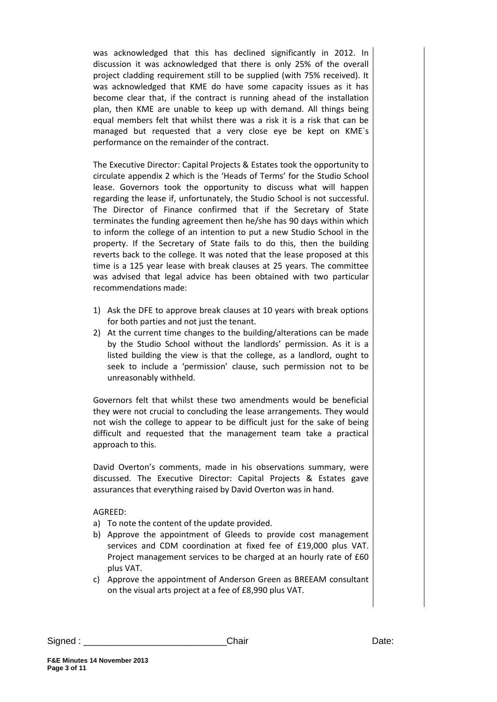was acknowledged that this has declined significantly in 2012. In discussion it was acknowledged that there is only 25% of the overall project cladding requirement still to be supplied (with 75% received). It was acknowledged that KME do have some capacity issues as it has become clear that, if the contract is running ahead of the installation plan, then KME are unable to keep up with demand. All things being equal members felt that whilst there was a risk it is a risk that can be managed but requested that a very close eye be kept on KME`s performance on the remainder of the contract.

The Executive Director: Capital Projects & Estates took the opportunity to circulate appendix 2 which is the 'Heads of Terms' for the Studio School lease. Governors took the opportunity to discuss what will happen regarding the lease if, unfortunately, the Studio School is not successful. The Director of Finance confirmed that if the Secretary of State terminates the funding agreement then he/she has 90 days within which to inform the college of an intention to put a new Studio School in the property. If the Secretary of State fails to do this, then the building reverts back to the college. It was noted that the lease proposed at this time is a 125 year lease with break clauses at 25 years. The committee was advised that legal advice has been obtained with two particular recommendations made:

- 1) Ask the DFE to approve break clauses at 10 years with break options for both parties and not just the tenant.
- 2) At the current time changes to the building/alterations can be made by the Studio School without the landlords' permission. As it is a listed building the view is that the college, as a landlord, ought to seek to include a 'permission' clause, such permission not to be unreasonably withheld.

Governors felt that whilst these two amendments would be beneficial they were not crucial to concluding the lease arrangements. They would not wish the college to appear to be difficult just for the sake of being difficult and requested that the management team take a practical approach to this.

David Overton's comments, made in his observations summary, were discussed. The Executive Director: Capital Projects & Estates gave assurances that everything raised by David Overton was in hand.

#### AGREED:

- a) To note the content of the update provided.
- b) Approve the appointment of Gleeds to provide cost management services and CDM coordination at fixed fee of £19,000 plus VAT. Project management services to be charged at an hourly rate of £60 plus VAT.
- c) Approve the appointment of Anderson Green as BREEAM consultant on the visual arts project at a fee of £8,990 plus VAT.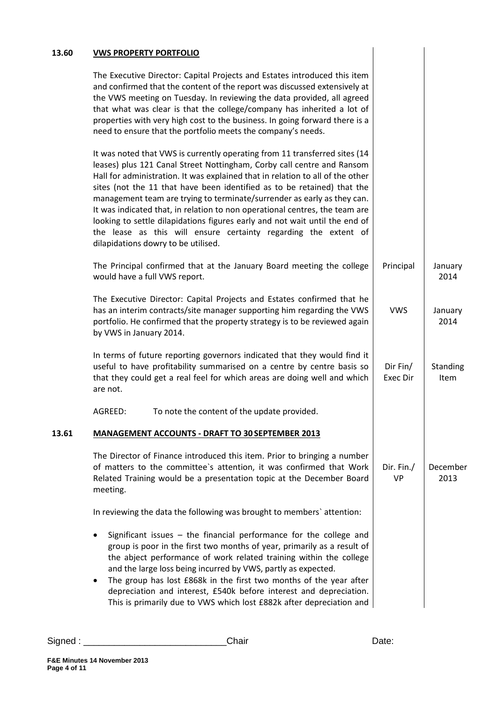| 13.60 | <b>VWS PROPERTY PORTFOLIO</b>                                                                                                                                                                                                                                                                                                                                                                                                                                                                                                                                                                                                                                        |                             |                  |
|-------|----------------------------------------------------------------------------------------------------------------------------------------------------------------------------------------------------------------------------------------------------------------------------------------------------------------------------------------------------------------------------------------------------------------------------------------------------------------------------------------------------------------------------------------------------------------------------------------------------------------------------------------------------------------------|-----------------------------|------------------|
|       | The Executive Director: Capital Projects and Estates introduced this item<br>and confirmed that the content of the report was discussed extensively at<br>the VWS meeting on Tuesday. In reviewing the data provided, all agreed<br>that what was clear is that the college/company has inherited a lot of<br>properties with very high cost to the business. In going forward there is a<br>need to ensure that the portfolio meets the company's needs.                                                                                                                                                                                                            |                             |                  |
|       | It was noted that VWS is currently operating from 11 transferred sites (14<br>leases) plus 121 Canal Street Nottingham, Corby call centre and Ransom<br>Hall for administration. It was explained that in relation to all of the other<br>sites (not the 11 that have been identified as to be retained) that the<br>management team are trying to terminate/surrender as early as they can.<br>It was indicated that, in relation to non operational centres, the team are<br>looking to settle dilapidations figures early and not wait until the end of<br>the lease as this will ensure certainty regarding the extent of<br>dilapidations dowry to be utilised. |                             |                  |
|       | The Principal confirmed that at the January Board meeting the college<br>would have a full VWS report.                                                                                                                                                                                                                                                                                                                                                                                                                                                                                                                                                               | Principal                   | January<br>2014  |
|       | The Executive Director: Capital Projects and Estates confirmed that he<br>has an interim contracts/site manager supporting him regarding the VWS<br>portfolio. He confirmed that the property strategy is to be reviewed again<br>by VWS in January 2014.                                                                                                                                                                                                                                                                                                                                                                                                            | <b>VWS</b>                  | January<br>2014  |
|       | In terms of future reporting governors indicated that they would find it<br>useful to have profitability summarised on a centre by centre basis so<br>that they could get a real feel for which areas are doing well and which<br>are not.                                                                                                                                                                                                                                                                                                                                                                                                                           | Dir Fin/<br><b>Exec Dir</b> | Standing<br>Item |
|       | To note the content of the update provided.<br>AGREED:                                                                                                                                                                                                                                                                                                                                                                                                                                                                                                                                                                                                               |                             |                  |
| 13.61 | <b>MANAGEMENT ACCOUNTS - DRAFT TO 30 SEPTEMBER 2013</b>                                                                                                                                                                                                                                                                                                                                                                                                                                                                                                                                                                                                              |                             |                  |
|       | The Director of Finance introduced this item. Prior to bringing a number<br>of matters to the committee's attention, it was confirmed that Work<br>Related Training would be a presentation topic at the December Board<br>meeting.                                                                                                                                                                                                                                                                                                                                                                                                                                  | Dir. Fin./<br><b>VP</b>     | December<br>2013 |
|       | In reviewing the data the following was brought to members' attention:                                                                                                                                                                                                                                                                                                                                                                                                                                                                                                                                                                                               |                             |                  |
|       | Significant issues $-$ the financial performance for the college and<br>group is poor in the first two months of year, primarily as a result of<br>the abject performance of work related training within the college<br>and the large loss being incurred by VWS, partly as expected.<br>The group has lost £868k in the first two months of the year after<br>$\bullet$<br>depreciation and interest, £540k before interest and depreciation.<br>This is primarily due to VWS which lost £882k after depreciation and                                                                                                                                              |                             |                  |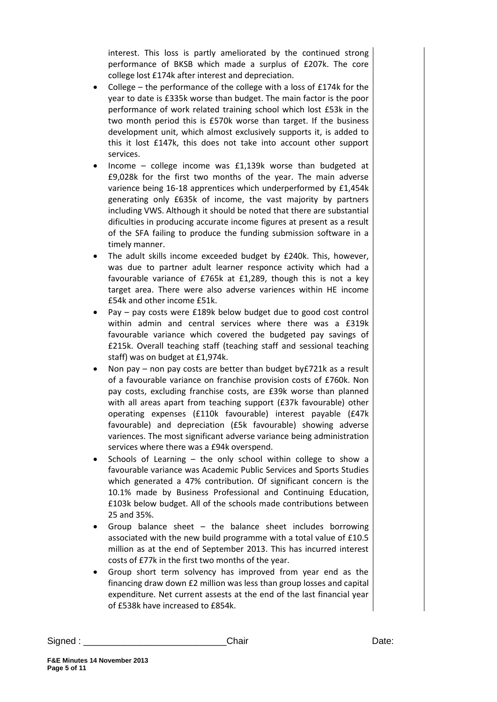interest. This loss is partly ameliorated by the continued strong performance of BKSB which made a surplus of £207k. The core college lost £174k after interest and depreciation.

- College the performance of the college with a loss of £174k for the year to date is £335k worse than budget. The main factor is the poor performance of work related training school which lost £53k in the two month period this is £570k worse than target. If the business development unit, which almost exclusively supports it, is added to this it lost £147k, this does not take into account other support services.
- Income college income was £1,139k worse than budgeted at £9,028k for the first two months of the year. The main adverse varience being 16-18 apprentices which underperformed by £1,454k generating only £635k of income, the vast majority by partners including VWS. Although it should be noted that there are substantial dificulties in producing accurate income figures at present as a result of the SFA failing to produce the funding submission software in a timely manner.
- The adult skills income exceeded budget by £240k. This, however, was due to partner adult learner responce activity which had a favourable variance of £765k at £1,289, though this is not a key target area. There were also adverse variences within HE income £54k and other income £51k.
- Pay pay costs were £189k below budget due to good cost control within admin and central services where there was a £319k favourable variance which covered the budgeted pay savings of £215k. Overall teaching staff (teaching staff and sessional teaching staff) was on budget at £1,974k.
- Non pay non pay costs are better than budget by£721k as a result of a favourable variance on franchise provision costs of £760k. Non pay costs, excluding franchise costs, are £39k worse than planned with all areas apart from teaching support (£37k favourable) other operating expenses (£110k favourable) interest payable (£47k favourable) and depreciation (£5k favourable) showing adverse variences. The most significant adverse variance being administration services where there was a £94k overspend.
- Schools of Learning the only school within college to show a favourable variance was Academic Public Services and Sports Studies which generated a 47% contribution. Of significant concern is the 10.1% made by Business Professional and Continuing Education, £103k below budget. All of the schools made contributions between 25 and 35%.
- Group balance sheet the balance sheet includes borrowing associated with the new build programme with a total value of £10.5 million as at the end of September 2013. This has incurred interest costs of £77k in the first two months of the year.
- Group short term solvency has improved from year end as the financing draw down £2 million was less than group losses and capital expenditure. Net current assests at the end of the last financial year of £538k have increased to £854k.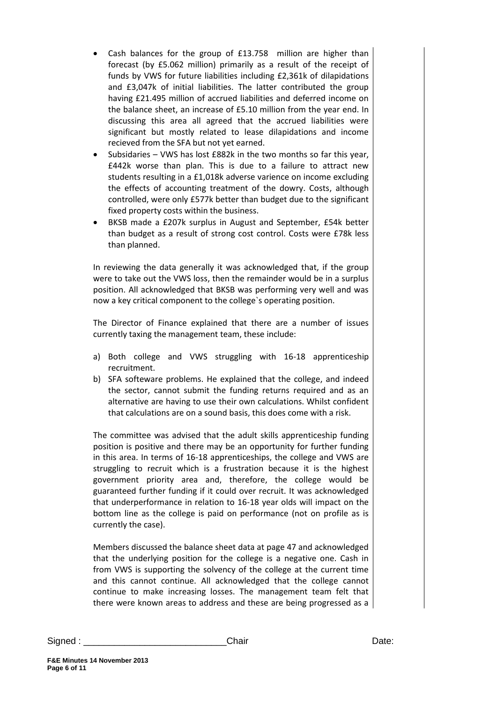- Cash balances for the group of £13.758 million are higher than forecast (by £5.062 million) primarily as a result of the receipt of funds by VWS for future liabilities including £2,361k of dilapidations and £3,047k of initial liabilities. The latter contributed the group having £21.495 million of accrued liabilities and deferred income on the balance sheet, an increase of £5.10 million from the year end. In discussing this area all agreed that the accrued liabilities were significant but mostly related to lease dilapidations and income recieved from the SFA but not yet earned.
- Subsidaries VWS has lost £882k in the two months so far this year, £442k worse than plan. This is due to a failure to attract new students resulting in a £1,018k adverse varience on income excluding the effects of accounting treatment of the dowry. Costs, although controlled, were only £577k better than budget due to the significant fixed property costs within the business.
- BKSB made a £207k surplus in August and September, £54k better than budget as a result of strong cost control. Costs were £78k less than planned.

In reviewing the data generally it was acknowledged that, if the group were to take out the VWS loss, then the remainder would be in a surplus position. All acknowledged that BKSB was performing very well and was now a key critical component to the college`s operating position.

The Director of Finance explained that there are a number of issues currently taxing the management team, these include:

- a) Both college and VWS struggling with 16-18 apprenticeship recruitment.
- b) SFA softeware problems. He explained that the college, and indeed the sector, cannot submit the funding returns required and as an alternative are having to use their own calculations. Whilst confident that calculations are on a sound basis, this does come with a risk.

The committee was advised that the adult skills apprenticeship funding position is positive and there may be an opportunity for further funding in this area. In terms of 16-18 apprenticeships, the college and VWS are struggling to recruit which is a frustration because it is the highest government priority area and, therefore, the college would be guaranteed further funding if it could over recruit. It was acknowledged that underperformance in relation to 16-18 year olds will impact on the bottom line as the college is paid on performance (not on profile as is currently the case).

Members discussed the balance sheet data at page 47 and acknowledged that the underlying position for the college is a negative one. Cash in from VWS is supporting the solvency of the college at the current time and this cannot continue. All acknowledged that the college cannot continue to make increasing losses. The management team felt that there were known areas to address and these are being progressed as a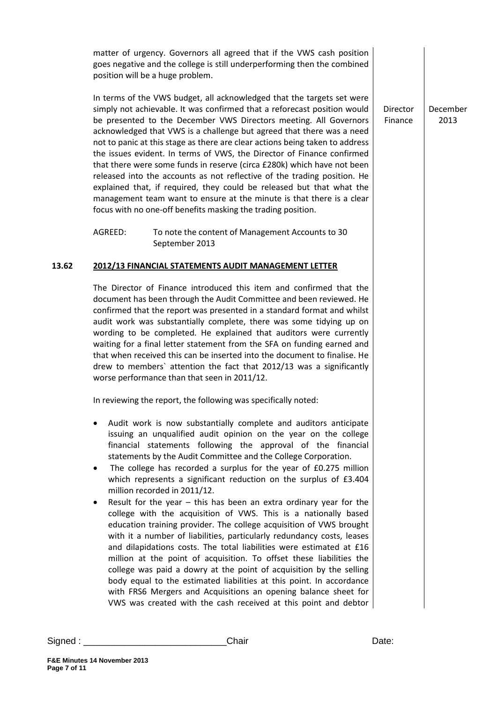matter of urgency. Governors all agreed that if the VWS cash position goes negative and the college is still underperforming then the combined position will be a huge problem.

In terms of the VWS budget, all acknowledged that the targets set were simply not achievable. It was confirmed that a reforecast position would be presented to the December VWS Directors meeting. All Governors acknowledged that VWS is a challenge but agreed that there was a need not to panic at this stage as there are clear actions being taken to address the issues evident. In terms of VWS, the Director of Finance confirmed that there were some funds in reserve (circa £280k) which have not been released into the accounts as not reflective of the trading position. He explained that, if required, they could be released but that what the management team want to ensure at the minute is that there is a clear focus with no one-off benefits masking the trading position.

AGREED: To note the content of Management Accounts to 30 September 2013

#### **13.62 2012/13 FINANCIAL STATEMENTS AUDIT MANAGEMENT LETTER**

The Director of Finance introduced this item and confirmed that the document has been through the Audit Committee and been reviewed. He confirmed that the report was presented in a standard format and whilst audit work was substantially complete, there was some tidying up on wording to be completed. He explained that auditors were currently waiting for a final letter statement from the SFA on funding earned and that when received this can be inserted into the document to finalise. He drew to members` attention the fact that 2012/13 was a significantly worse performance than that seen in 2011/12.

In reviewing the report, the following was specifically noted:

- Audit work is now substantially complete and auditors anticipate issuing an unqualified audit opinion on the year on the college financial statements following the approval of the financial statements by the Audit Committee and the College Corporation.
- The college has recorded a surplus for the year of £0.275 million which represents a significant reduction on the surplus of £3.404 million recorded in 2011/12.
- Result for the year this has been an extra ordinary year for the college with the acquisition of VWS. This is a nationally based education training provider. The college acquisition of VWS brought with it a number of liabilities, particularly redundancy costs, leases and dilapidations costs. The total liabilities were estimated at £16 million at the point of acquisition. To offset these liabilities the college was paid a dowry at the point of acquisition by the selling body equal to the estimated liabilities at this point. In accordance with FRS6 Mergers and Acquisitions an opening balance sheet for VWS was created with the cash received at this point and debtor

Director Finance December 2013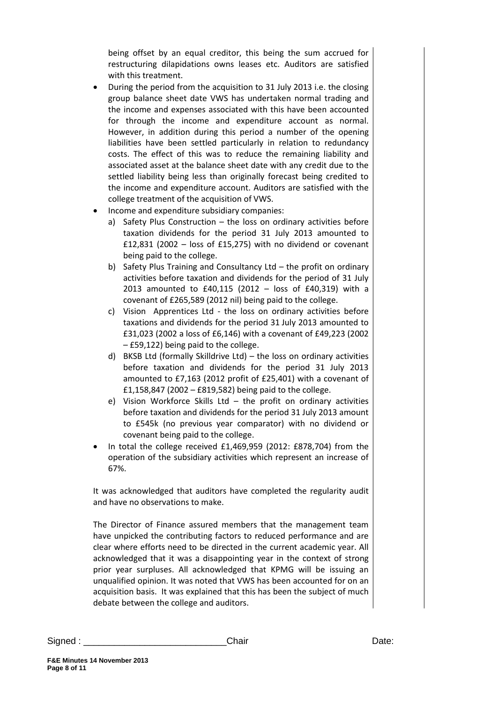being offset by an equal creditor, this being the sum accrued for restructuring dilapidations owns leases etc. Auditors are satisfied with this treatment.

- During the period from the acquisition to 31 July 2013 i.e. the closing group balance sheet date VWS has undertaken normal trading and the income and expenses associated with this have been accounted for through the income and expenditure account as normal. However, in addition during this period a number of the opening liabilities have been settled particularly in relation to redundancy costs. The effect of this was to reduce the remaining liability and associated asset at the balance sheet date with any credit due to the settled liability being less than originally forecast being credited to the income and expenditure account. Auditors are satisfied with the college treatment of the acquisition of VWS.
- Income and expenditure subsidiary companies:
	- a) Safety Plus Construction the loss on ordinary activities before taxation dividends for the period 31 July 2013 amounted to £12,831 (2002 – loss of £15,275) with no dividend or covenant being paid to the college.
	- b) Safety Plus Training and Consultancy Ltd the profit on ordinary activities before taxation and dividends for the period of 31 July 2013 amounted to £40,115 (2012 – loss of £40,319) with a covenant of £265,589 (2012 nil) being paid to the college.
	- c) Vision Apprentices Ltd the loss on ordinary activities before taxations and dividends for the period 31 July 2013 amounted to £31,023 (2002 a loss of £6,146) with a covenant of £49,223 (2002 – £59,122) being paid to the college.
	- d) BKSB Ltd (formally Skilldrive Ltd) the loss on ordinary activities before taxation and dividends for the period 31 July 2013 amounted to £7,163 (2012 profit of £25,401) with a covenant of £1,158,847 (2002 – £819,582) being paid to the college.
	- e) Vision Workforce Skills Ltd the profit on ordinary activities before taxation and dividends for the period 31 July 2013 amount to £545k (no previous year comparator) with no dividend or covenant being paid to the college.
- In total the college received £1,469,959 (2012: £878,704) from the operation of the subsidiary activities which represent an increase of 67%.

It was acknowledged that auditors have completed the regularity audit and have no observations to make.

The Director of Finance assured members that the management team have unpicked the contributing factors to reduced performance and are clear where efforts need to be directed in the current academic year. All acknowledged that it was a disappointing year in the context of strong prior year surpluses. All acknowledged that KPMG will be issuing an unqualified opinion. It was noted that VWS has been accounted for on an acquisition basis. It was explained that this has been the subject of much debate between the college and auditors.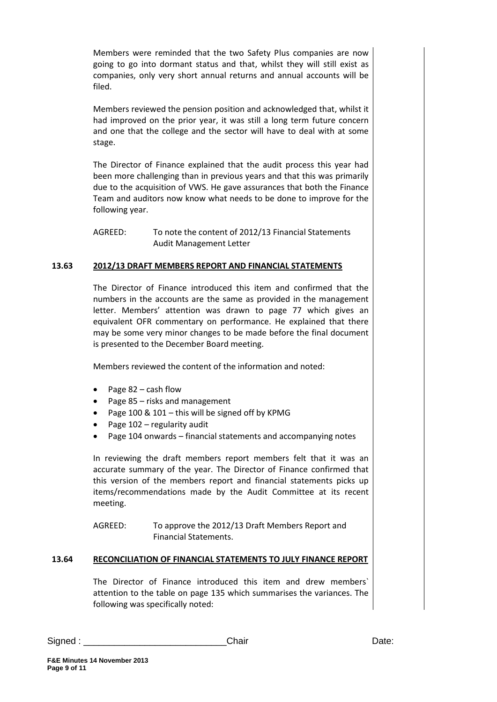Members were reminded that the two Safety Plus companies are now going to go into dormant status and that, whilst they will still exist as companies, only very short annual returns and annual accounts will be filed.

Members reviewed the pension position and acknowledged that, whilst it had improved on the prior year, it was still a long term future concern and one that the college and the sector will have to deal with at some stage.

The Director of Finance explained that the audit process this year had been more challenging than in previous years and that this was primarily due to the acquisition of VWS. He gave assurances that both the Finance Team and auditors now know what needs to be done to improve for the following year.

AGREED: To note the content of 2012/13 Financial Statements Audit Management Letter

## **13.63 2012/13 DRAFT MEMBERS REPORT AND FINANCIAL STATEMENTS**

The Director of Finance introduced this item and confirmed that the numbers in the accounts are the same as provided in the management letter. Members' attention was drawn to page 77 which gives an equivalent OFR commentary on performance. He explained that there may be some very minor changes to be made before the final document is presented to the December Board meeting.

Members reviewed the content of the information and noted:

- Page 82 cash flow
- Page 85 risks and management
- Page 100 & 101 this will be signed off by KPMG
- Page 102 regularity audit
- Page 104 onwards financial statements and accompanying notes

In reviewing the draft members report members felt that it was an accurate summary of the year. The Director of Finance confirmed that this version of the members report and financial statements picks up items/recommendations made by the Audit Committee at its recent meeting.

AGREED: To approve the 2012/13 Draft Members Report and Financial Statements.

# **13.64 RECONCILIATION OF FINANCIAL STATEMENTS TO JULY FINANCE REPORT**

The Director of Finance introduced this item and drew members` attention to the table on page 135 which summarises the variances. The following was specifically noted: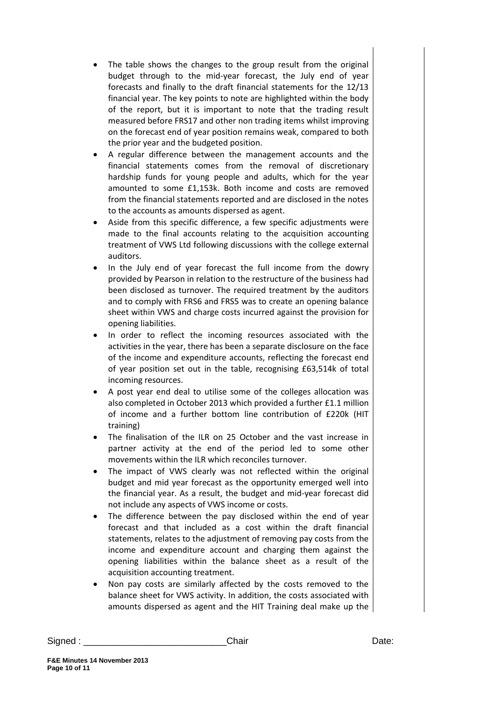- The table shows the changes to the group result from the original budget through to the mid-year forecast, the July end of year forecasts and finally to the draft financial statements for the 12/13 financial year. The key points to note are highlighted within the body of the report, but it is important to note that the trading result measured before FRS17 and other non trading items whilst improving on the forecast end of year position remains weak, compared to both the prior year and the budgeted position.
- A regular difference between the management accounts and the financial statements comes from the removal of discretionary hardship funds for young people and adults, which for the year amounted to some £1,153k. Both income and costs are removed from the financial statements reported and are disclosed in the notes to the accounts as amounts dispersed as agent.
- Aside from this specific difference, a few specific adjustments were made to the final accounts relating to the acquisition accounting treatment of VWS Ltd following discussions with the college external auditors.
- In the July end of year forecast the full income from the dowry provided by Pearson in relation to the restructure of the business had been disclosed as turnover. The required treatment by the auditors and to comply with FRS6 and FRS5 was to create an opening balance sheet within VWS and charge costs incurred against the provision for opening liabilities.
- In order to reflect the incoming resources associated with the activities in the year, there has been a separate disclosure on the face of the income and expenditure accounts, reflecting the forecast end of year position set out in the table, recognising £63,514k of total incoming resources.
- A post year end deal to utilise some of the colleges allocation was also completed in October 2013 which provided a further £1.1 million of income and a further bottom line contribution of £220k (HIT training)
- The finalisation of the ILR on 25 October and the vast increase in partner activity at the end of the period led to some other movements within the ILR which reconciles turnover.
- The impact of VWS clearly was not reflected within the original budget and mid year forecast as the opportunity emerged well into the financial year. As a result, the budget and mid-year forecast did not include any aspects of VWS income or costs.
- The difference between the pay disclosed within the end of year forecast and that included as a cost within the draft financial statements, relates to the adjustment of removing pay costs from the income and expenditure account and charging them against the opening liabilities within the balance sheet as a result of the acquisition accounting treatment.
- Non pay costs are similarly affected by the costs removed to the balance sheet for VWS activity. In addition, the costs associated with amounts dispersed as agent and the HIT Training deal make up the